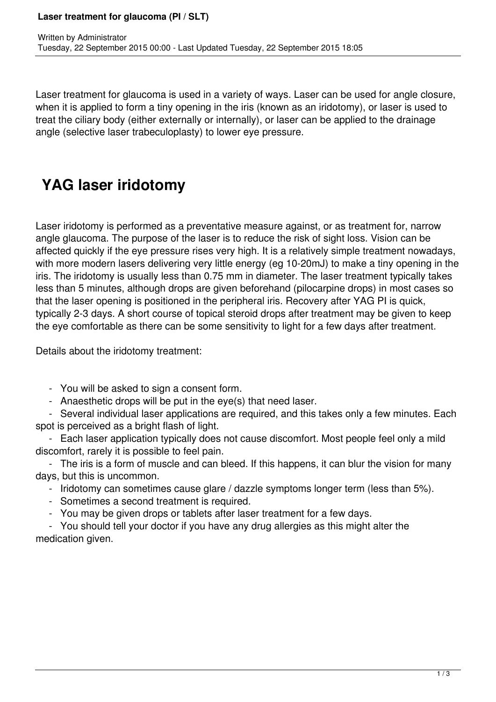Laser treatment for glaucoma is used in a variety of ways. Laser can be used for angle closure, when it is applied to form a tiny opening in the iris (known as an iridotomy), or laser is used to treat the ciliary body (either externally or internally), or laser can be applied to the drainage angle (selective laser trabeculoplasty) to lower eye pressure.

## **YAG laser iridotomy**

Laser iridotomy is performed as a preventative measure against, or as treatment for, narrow angle glaucoma. The purpose of the laser is to reduce the risk of sight loss. Vision can be affected quickly if the eye pressure rises very high. It is a relatively simple treatment nowadays, with more modern lasers delivering very little energy (eg 10-20mJ) to make a tiny opening in the iris. The iridotomy is usually less than 0.75 mm in diameter. The laser treatment typically takes less than 5 minutes, although drops are given beforehand (pilocarpine drops) in most cases so that the laser opening is positioned in the peripheral iris. Recovery after YAG PI is quick, typically 2-3 days. A short course of topical steroid drops after treatment may be given to keep the eye comfortable as there can be some sensitivity to light for a few days after treatment.

Details about the iridotomy treatment:

- You will be asked to sign a consent form.
- Anaesthetic drops will be put in the eye(s) that need laser.

 - Several individual laser applications are required, and this takes only a few minutes. Each spot is perceived as a bright flash of light.

 - Each laser application typically does not cause discomfort. Most people feel only a mild discomfort, rarely it is possible to feel pain.

 - The iris is a form of muscle and can bleed. If this happens, it can blur the vision for many days, but this is uncommon.

- Iridotomy can sometimes cause glare / dazzle symptoms longer term (less than 5%).
- Sometimes a second treatment is required.
- You may be given drops or tablets after laser treatment for a few days.

 - You should tell your doctor if you have any drug allergies as this might alter the medication given.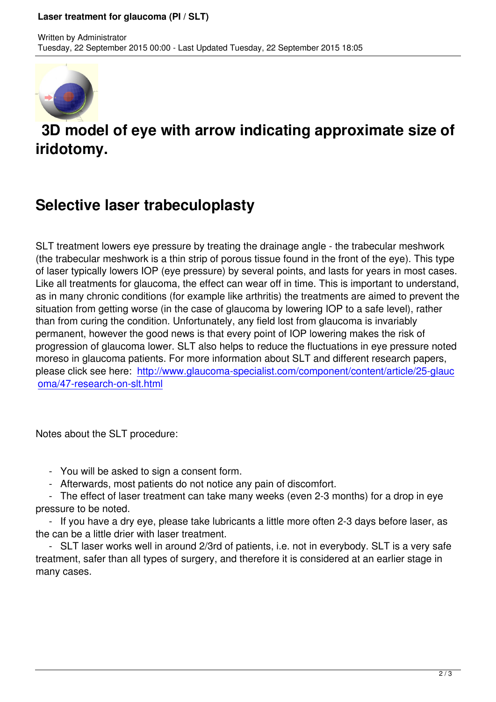

Written by Administrator and Administrator and Administrator and Administrator and Administrator and Administrator and Administrator and Administrator and Administrator and Administrator and Administrator and Administrator

## **3D model of eye with arrow indicating approximate size of iridotomy.**

## **Selective laser trabeculoplasty**

SLT treatment lowers eye pressure by treating the drainage angle - the trabecular meshwork (the trabecular meshwork is a thin strip of porous tissue found in the front of the eye). This type of laser typically lowers IOP (eye pressure) by several points, and lasts for years in most cases. Like all treatments for glaucoma, the effect can wear off in time. This is important to understand, as in many chronic conditions (for example like arthritis) the treatments are aimed to prevent the situation from getting worse (in the case of glaucoma by lowering IOP to a safe level), rather than from curing the condition. Unfortunately, any field lost from glaucoma is invariably permanent, however the good news is that every point of IOP lowering makes the risk of progression of glaucoma lower. SLT also helps to reduce the fluctuations in eye pressure noted moreso in glaucoma patients. For more information about SLT and different research papers, please click see here: http://www.glaucoma-specialist.com/component/content/article/25-glauc oma/47-research-on-slt.html

[Notes about the SLT procedu](component/content/article/25-glaucoma/47-research-on-slt.html)re:

- You will be asked to sign a consent form.
- Afterwards, most patients do not notice any pain of discomfort.

 - The effect of laser treatment can take many weeks (even 2-3 months) for a drop in eye pressure to be noted.

 - If you have a dry eye, please take lubricants a little more often 2-3 days before laser, as the can be a little drier with laser treatment.

 - SLT laser works well in around 2/3rd of patients, i.e. not in everybody. SLT is a very safe treatment, safer than all types of surgery, and therefore it is considered at an earlier stage in many cases.